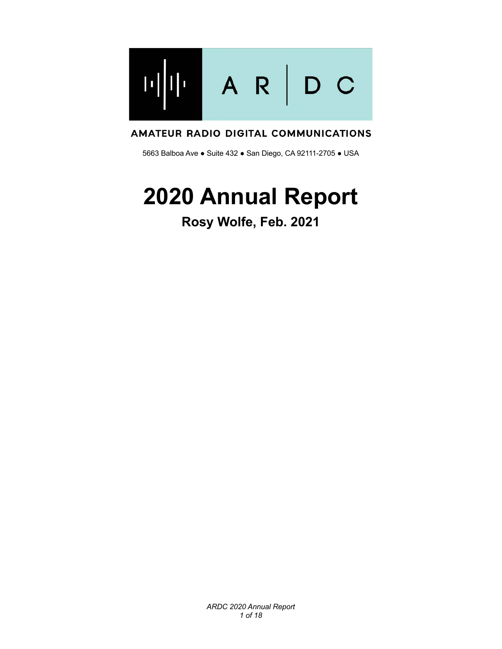

#### AMATEUR RADIO DIGITAL COMMUNICATIONS

5663 Balboa Ave ● Suite 432 ● San Diego, CA 92111-2705 ● USA

# **2020 Annual Report**

## **Rosy Wolfe, Feb. 2021**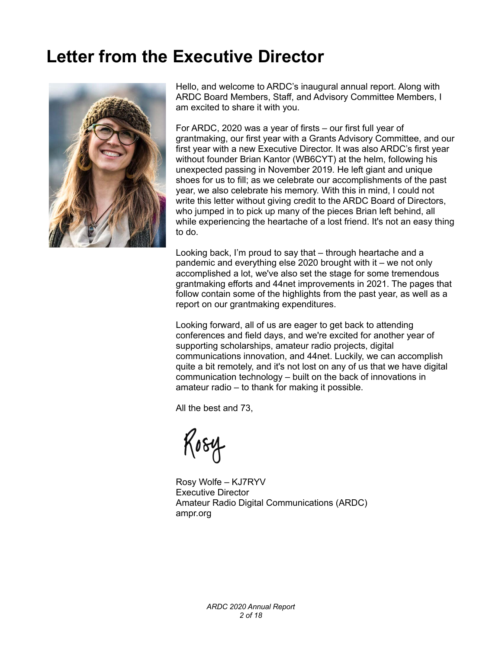## **Letter from the Executive Director**



Hello, and welcome to ARDC's inaugural annual report. Along with ARDC Board Members, Staff, and Advisory Committee Members, I am excited to share it with you.

For ARDC, 2020 was a year of firsts – our first full year of grantmaking, our first year with a Grants Advisory Committee, and our first year with a new Executive Director. It was also ARDC's first year without founder Brian Kantor (WB6CYT) at the helm, following his unexpected passing in November 2019. He left giant and unique shoes for us to fill; as we celebrate our accomplishments of the past year, we also celebrate his memory. With this in mind, I could not write this letter without giving credit to the ARDC Board of Directors, who jumped in to pick up many of the pieces Brian left behind, all while experiencing the heartache of a lost friend. It's not an easy thing to do.

Looking back, I'm proud to say that – through heartache and a pandemic and everything else 2020 brought with it – we not only accomplished a lot, we've also set the stage for some tremendous grantmaking efforts and 44net improvements in 2021. The pages that follow contain some of the highlights from the past year, as well as a report on our grantmaking expenditures.

Looking forward, all of us are eager to get back to attending conferences and field days, and we're excited for another year of supporting scholarships, amateur radio projects, digital communications innovation, and 44net. Luckily, we can accomplish quite a bit remotely, and it's not lost on any of us that we have digital communication technology – built on the back of innovations in amateur radio – to thank for making it possible.

All the best and 73,

Kosy

Rosy Wolfe – KJ7RYV Executive Director Amateur Radio Digital Communications (ARDC) ampr.org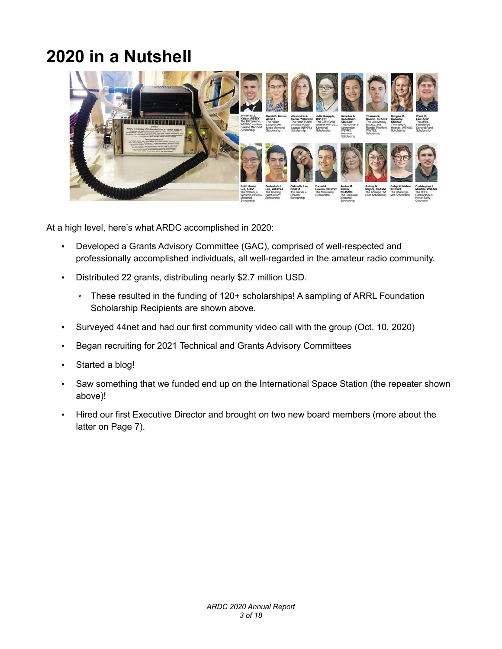## **2020 in a Nutshell**



At a high level, here's what ARDC accomplished in 2020:

- Developed a Grants Advisory Committee (GAC), comprised of well-respected and professionally accomplished individuals, all well-regarded in the amateur radio community.
- Distributed 22 grants, distributing nearly \$2.7 million USD.
	- These resulted in the funding of 120+ scholarships! A sampling of ARRL Foundation Scholarship Recipients are shown above.
- Surveyed 44net and had our first community video call with the group (Oct. 10, 2020)
- Began recruiting for 2021 Technical and Grants Advisory Committees
- Started a blog!
- Saw something that we funded end up on the International Space Station (the repeater shown above)!
- Hired our first Executive Director and brought on two new board members (more about the latter on Page 7).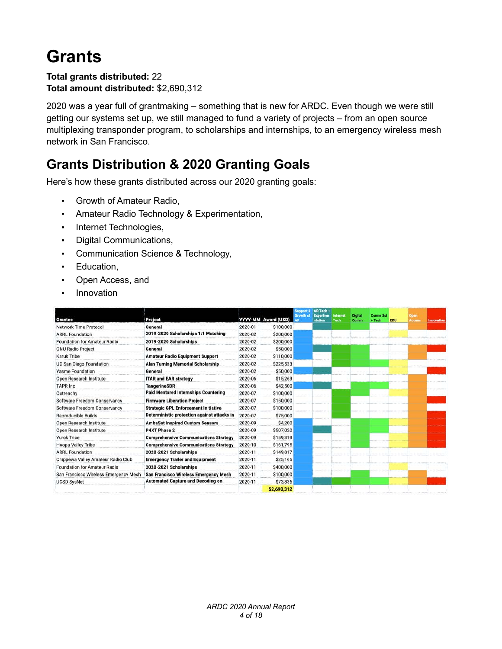## **Grants**

#### **Total grants distributed:** 22 **Total amount distributed:** \$2,690,312

2020 was a year full of grantmaking – something that is new for ARDC. Even though we were still getting our systems set up, we still managed to fund a variety of projects – from an open source multiplexing transponder program, to scholarships and internships, to an emergency wireless mesh network in San Francisco.

### **Grants Distribution & 2020 Granting Goals**

Here's how these grants distributed across our 2020 granting goals:

- Growth of Amateur Radio,
- Amateur Radio Technology & Experimentation,
- Internet Technologies,
- Digital Communications,
- Communication Science & Technology,
- Education,
- Open Access, and
- Innovation

|                                       |                                              |         |                     | <b>Support &amp;</b><br><b>Growth of</b> | AR Tech+<br><b>Experime</b> | Internet | <b>Digital</b> | <b>Comm Sci</b> |            | Open   |                   |
|---------------------------------------|----------------------------------------------|---------|---------------------|------------------------------------------|-----------------------------|----------|----------------|-----------------|------------|--------|-------------------|
| Grantee                               | Project                                      |         | YYYY-MM Award (USD) | AR                                       | ntation                     | Tech     | Comm           | + Tech          | <b>EDU</b> | Access | <b>Innovation</b> |
| <b>Network Time Protocol</b>          | General                                      | 2020-01 | \$100,000           |                                          |                             |          |                |                 |            |        |                   |
| <b>ARRL Foundation</b>                | 2019-2020 Scholarships 1:1 Matching          | 2020-02 | \$200,000           |                                          |                             |          |                |                 |            |        |                   |
| <b>Foundation for Amateur Radio</b>   | 2019-2020 Scholarships                       | 2020-02 | \$200,000           |                                          |                             |          |                |                 |            |        |                   |
| <b>GNU Radio Project</b>              | General                                      | 2020-02 | \$50,000            |                                          |                             |          |                |                 |            |        |                   |
| Karuk Tribe                           | <b>Amateur Radio Equipment Support</b>       | 2020-02 | \$110,000           |                                          |                             |          |                |                 |            |        |                   |
| <b>UC San Diego Foundation</b>        | <b>Alan Turning Memorial Scholarship</b>     | 2020-02 | \$225,533           |                                          |                             |          |                |                 |            |        |                   |
| <b>Yasme Foundation</b>               | General                                      | 2020-02 | \$50,000            |                                          |                             |          |                |                 |            |        |                   |
| Open Research Institute               | <b>ITAR and EAR strategy</b>                 | 2020-06 | \$15,263            |                                          |                             |          |                |                 |            |        |                   |
| <b>TAPR Inc</b>                       | <b>TangerineSDR</b>                          | 2020-06 | \$42,500            |                                          |                             |          |                |                 |            |        |                   |
| Outreachy                             | <b>Paid Mentored Internships Countering</b>  | 2020-07 | \$100,000           |                                          |                             |          |                |                 |            |        |                   |
| <b>Software Freedom Conservancy</b>   | <b>Firmware Liberation Project</b>           | 2020-07 | \$150,000           |                                          |                             |          |                |                 |            |        |                   |
| Software Freedom Conservancy          | <b>Strategic GPL Enforcement Initiative</b>  | 2020-07 | \$100,000           |                                          |                             |          |                |                 |            |        |                   |
| <b>Reproducible Builds</b>            | Deterministic protection against attacks in  | 2020-07 | \$75,000            |                                          |                             |          |                |                 |            |        |                   |
| Open Research Institute               | <b>AmbaSat Inspired Custom Sensors</b>       | 2020-09 | \$4,200             |                                          |                             |          |                |                 |            |        |                   |
| Open Research Institute               | <b>P4XT Phase 2</b>                          | 2020-09 | \$507,020           |                                          |                             |          |                |                 |            |        |                   |
| <b>Yurok Tribe</b>                    | <b>Comprehensive Communications Strategy</b> | 2020-09 | \$159,319           |                                          |                             |          |                |                 |            |        |                   |
| <b>Hoopa Valley Tribe</b>             | <b>Comprehensive Communications Strategy</b> | 2020-10 | \$161,795           |                                          |                             |          |                |                 |            |        |                   |
| <b>ARRL Foundation</b>                | 2020-2021 Scholarships                       | 2020-11 | \$149,817           |                                          |                             |          |                |                 |            |        |                   |
| Chippewa Valley Amateur Radio Club    | <b>Emergency Trailer and Equipment</b>       | 2020-11 | \$25,165            |                                          |                             |          |                |                 |            |        |                   |
| <b>Foundation for Amateur Radio</b>   | 2020-2021 Scholarships                       | 2020-11 | \$400,000           |                                          |                             |          |                |                 |            |        |                   |
| San Francisco Wireless Emergency Mesh | <b>San Francisco Wireless Emergency Mesh</b> | 2020-11 | \$100,000           |                                          |                             |          |                |                 |            |        |                   |
| <b>UCSD SysNet</b>                    | <b>Automated Capture and Decoding on</b>     | 2020-11 | \$73,836            |                                          |                             |          |                |                 |            |        |                   |
|                                       |                                              |         | \$2,690,312         |                                          |                             |          |                |                 |            |        |                   |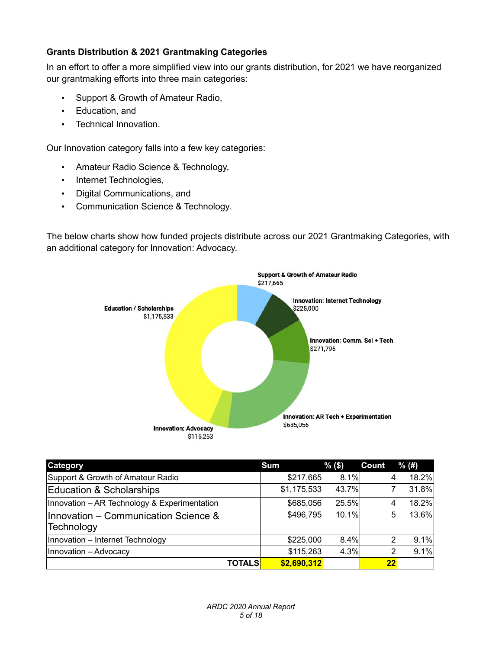#### **Grants Distribution & 2021 Grantmaking Categories**

In an effort to offer a more simplified view into our grants distribution, for 2021 we have reorganized our grantmaking efforts into three main categories:

- Support & Growth of Amateur Radio,
- Education, and
- Technical Innovation.

Our Innovation category falls into a few key categories:

- Amateur Radio Science & Technology,
- Internet Technologies,
- Digital Communications, and
- Communication Science & Technology.

The below charts show how funded projects distribute across our 2021 Grantmaking Categories, with an additional category for Innovation: Advocacy.



| Category                                           | <b>Sum</b>  | $%$ (\$) | <b>Count</b> | % (#) |
|----------------------------------------------------|-------------|----------|--------------|-------|
| Support & Growth of Amateur Radio                  | \$217,665   | 8.1%     | 4            | 18.2% |
| Education & Scholarships                           | \$1,175,533 | 43.7%    |              | 31.8% |
| Innovation - AR Technology & Experimentation       | \$685,056   | 25.5%    |              | 18.2% |
| Innovation - Communication Science &<br>Technology | \$496,795   | 10.1%    | 5            | 13.6% |
| Innovation - Internet Technology                   | \$225,000   | 8.4%     | ◠            | 9.1%  |
| Innovation - Advocacy                              | \$115,263   | 4.3%     | ≘            | 9.1%  |
| TOTALS                                             | \$2,690,312 |          | 22           |       |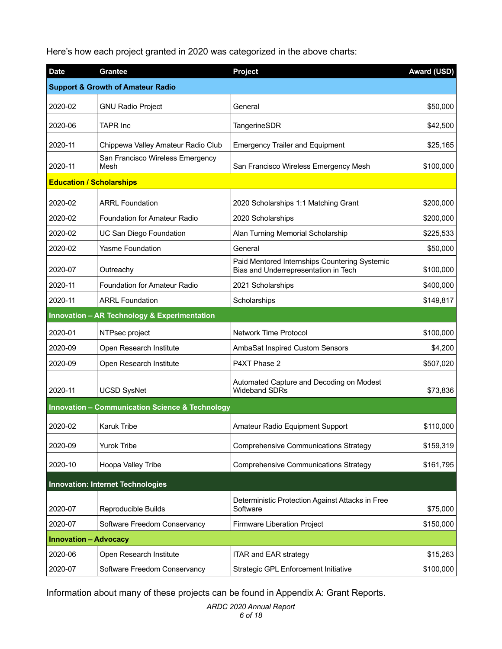Here's how each project granted in 2020 was categorized in the above charts:

| <b>Date</b>                                                | <b>Grantee</b>                                          | Project                                                                               | <b>Award (USD)</b> |  |  |  |  |
|------------------------------------------------------------|---------------------------------------------------------|---------------------------------------------------------------------------------------|--------------------|--|--|--|--|
| <b>Support &amp; Growth of Amateur Radio</b>               |                                                         |                                                                                       |                    |  |  |  |  |
| 2020-02                                                    | <b>GNU Radio Project</b>                                | General                                                                               | \$50,000           |  |  |  |  |
| 2020-06                                                    | <b>TAPR Inc</b>                                         | <b>TangerineSDR</b>                                                                   | \$42,500           |  |  |  |  |
| 2020-11                                                    | Chippewa Valley Amateur Radio Club                      | <b>Emergency Trailer and Equipment</b>                                                | \$25,165           |  |  |  |  |
| 2020-11                                                    | San Francisco Wireless Emergency<br>Mesh                | San Francisco Wireless Emergency Mesh                                                 | \$100,000          |  |  |  |  |
| <b>Education / Scholarships</b>                            |                                                         |                                                                                       |                    |  |  |  |  |
| 2020-02                                                    | <b>ARRL Foundation</b>                                  | 2020 Scholarships 1:1 Matching Grant                                                  | \$200,000          |  |  |  |  |
| 2020-02                                                    | Foundation for Amateur Radio                            | 2020 Scholarships                                                                     | \$200,000          |  |  |  |  |
| 2020-02                                                    | UC San Diego Foundation                                 | Alan Turning Memorial Scholarship                                                     | \$225,533          |  |  |  |  |
| 2020-02                                                    | Yasme Foundation                                        | General                                                                               | \$50,000           |  |  |  |  |
| 2020-07                                                    | Outreachy                                               | Paid Mentored Internships Countering Systemic<br>Bias and Underrepresentation in Tech | \$100,000          |  |  |  |  |
| 2020-11                                                    | Foundation for Amateur Radio                            | 2021 Scholarships                                                                     | \$400,000          |  |  |  |  |
| 2020-11                                                    | <b>ARRL Foundation</b>                                  | Scholarships                                                                          | \$149,817          |  |  |  |  |
|                                                            | <b>Innovation - AR Technology &amp; Experimentation</b> |                                                                                       |                    |  |  |  |  |
| 2020-01                                                    | NTPsec project                                          | <b>Network Time Protocol</b>                                                          | \$100,000          |  |  |  |  |
| 2020-09                                                    | Open Research Institute                                 | AmbaSat Inspired Custom Sensors                                                       | \$4,200            |  |  |  |  |
| 2020-09                                                    | Open Research Institute                                 | P4XT Phase 2                                                                          | \$507,020          |  |  |  |  |
| 2020-11                                                    | <b>UCSD SysNet</b>                                      | Automated Capture and Decoding on Modest<br><b>Wideband SDRs</b>                      | \$73,836           |  |  |  |  |
| <b>Innovation - Communication Science &amp; Technology</b> |                                                         |                                                                                       |                    |  |  |  |  |
| 2020-02                                                    | <b>Karuk Tribe</b>                                      | Amateur Radio Equipment Support                                                       | \$110,000          |  |  |  |  |
| 2020-09                                                    | <b>Yurok Tribe</b>                                      | Comprehensive Communications Strategy                                                 | \$159,319          |  |  |  |  |
| 2020-10                                                    | Hoopa Valley Tribe                                      | Comprehensive Communications Strategy                                                 | \$161,795          |  |  |  |  |
| <b>Innovation: Internet Technologies</b>                   |                                                         |                                                                                       |                    |  |  |  |  |
| 2020-07                                                    | Reproducible Builds                                     | Deterministic Protection Against Attacks in Free<br>Software                          | \$75,000           |  |  |  |  |
| 2020-07                                                    | Software Freedom Conservancy                            | Firmware Liberation Project                                                           | \$150,000          |  |  |  |  |
| <b>Innovation - Advocacy</b>                               |                                                         |                                                                                       |                    |  |  |  |  |
| 2020-06                                                    | Open Research Institute                                 | ITAR and EAR strategy                                                                 | \$15,263           |  |  |  |  |
| 2020-07                                                    | Software Freedom Conservancy                            | Strategic GPL Enforcement Initiative                                                  | \$100,000          |  |  |  |  |

Information about many of these projects can be found in Appendix A: Grant Reports.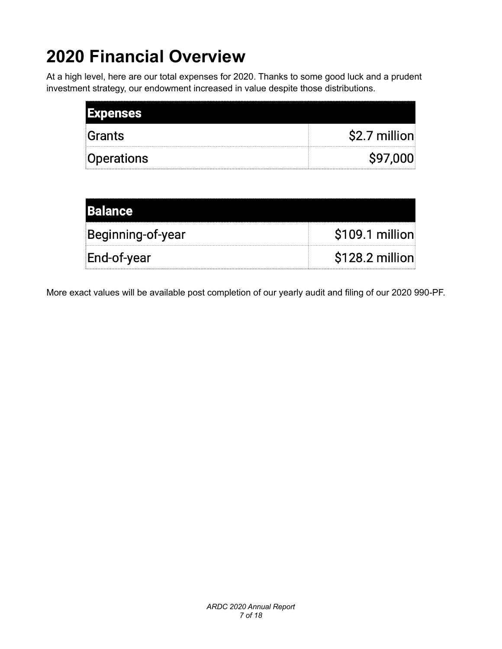# **2020 Financial Overview**

At a high level, here are our total expenses for 2020. Thanks to some good luck and a prudent investment strategy, our endowment increased in value despite those distributions.

| <b>Expenses</b> |               |
|-----------------|---------------|
| Grants          | \$2.7 million |
| Operations      | \$97,000      |

| <b>Balance</b>    |                  |
|-------------------|------------------|
| Beginning-of-year | \$109.1 million  |
| End-of-year       | $$128.2$ million |

More exact values will be available post completion of our yearly audit and filing of our 2020 990-PF.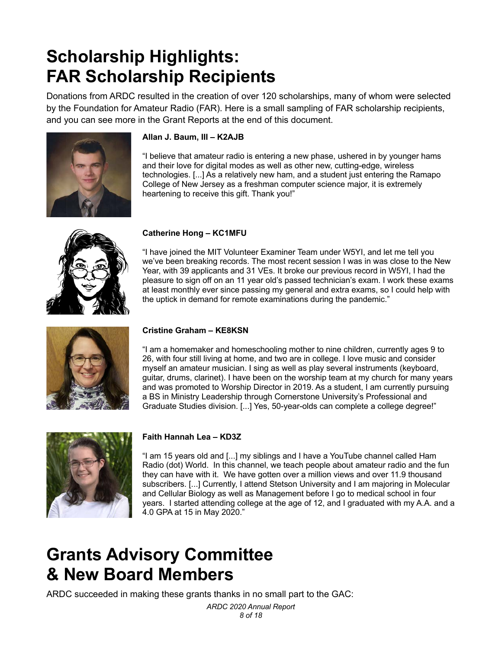## **Scholarship Highlights: FAR Scholarship Recipients**

Donations from ARDC resulted in the creation of over 120 scholarships, many of whom were selected by the Foundation for Amateur Radio (FAR). Here is a small sampling of FAR scholarship recipients, and you can see more in the Grant Reports at the end of this document.



#### **Allan J. Baum, III – K2AJB**

"I believe that amateur radio is entering a new phase, ushered in by younger hams and their love for digital modes as well as other new, cutting-edge, wireless technologies. [...] As a relatively new ham, and a student just entering the Ramapo College of New Jersey as a freshman computer science major, it is extremely heartening to receive this gift. Thank you!"



#### **Catherine Hong – KC1MFU**

"I have joined the MIT Volunteer Examiner Team under W5YI, and let me tell you we've been breaking records. The most recent session I was in was close to the New Year, with 39 applicants and 31 VEs. It broke our previous record in W5YI, I had the pleasure to sign off on an 11 year old's passed technician's exam. I work these exams at least monthly ever since passing my general and extra exams, so I could help with the uptick in demand for remote examinations during the pandemic."



#### **Cristine Graham – KE8KSN**

"I am a homemaker and homeschooling mother to nine children, currently ages 9 to 26, with four still living at home, and two are in college. I love music and consider myself an amateur musician. I sing as well as play several instruments (keyboard, guitar, drums, clarinet). I have been on the worship team at my church for many years and was promoted to Worship Director in 2019. As a student, I am currently pursuing a BS in Ministry Leadership through Cornerstone University's Professional and Graduate Studies division. [...] Yes, 50-year-olds can complete a college degree!"



#### **Faith Hannah Lea – KD3Z**

"I am 15 years old and [...] my siblings and I have a YouTube channel called Ham Radio (dot) World. In this channel, we teach people about amateur radio and the fun they can have with it. We have gotten over a million views and over 11.9 thousand subscribers. [...] Currently, I attend Stetson University and I am majoring in Molecular and Cellular Biology as well as Management before I go to medical school in four years. I started attending college at the age of 12, and I graduated with my A.A. and a 4.0 GPA at 15 in May 2020."

## **Grants Advisory Committee & New Board Members**

ARDC succeeded in making these grants thanks in no small part to the GAC:

*ARDC 2020 Annual Report 8 of 18*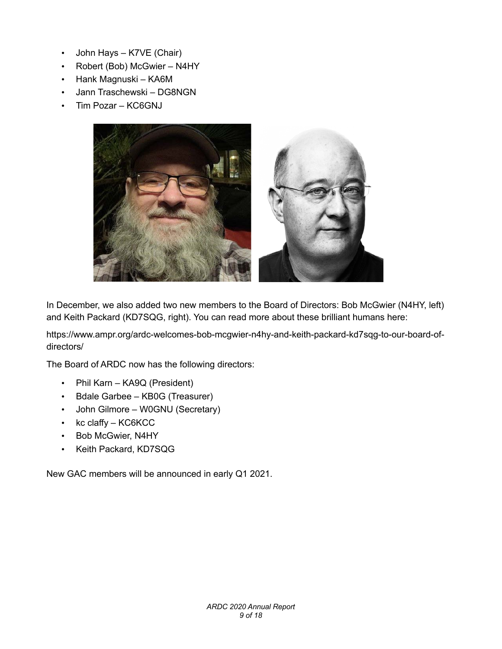- John Hays K7VE (Chair)
- Robert (Bob) McGwier N4HY
- Hank Magnuski KA6M
- Jann Traschewski DG8NGN
- Tim Pozar KC6GNJ



In December, we also added two new members to the Board of Directors: Bob McGwier (N4HY, left) and Keith Packard (KD7SQG, right). You can read more about these brilliant humans here:

https://www.ampr.org/ardc-welcomes-bob-mcgwier-n4hy-and-keith-packard-kd7sqg-to-our-board-ofdirectors/

The Board of ARDC now has the following directors:

- Phil Karn KA9Q (President)
- Bdale Garbee KB0G (Treasurer)
- John Gilmore W0GNU (Secretary)
- kc claffy KC6KCC
- Bob McGwier, N4HY
- Keith Packard, KD7SQG

New GAC members will be announced in early Q1 2021.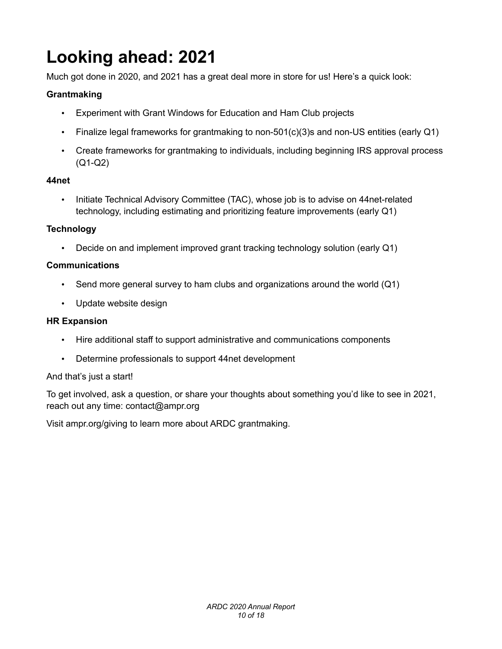# **Looking ahead: 2021**

Much got done in 2020, and 2021 has a great deal more in store for us! Here's a quick look:

#### **Grantmaking**

- Experiment with Grant Windows for Education and Ham Club projects
- Finalize legal frameworks for grantmaking to non-501(c)(3)s and non-US entities (early Q1)
- Create frameworks for grantmaking to individuals, including beginning IRS approval process (Q1-Q2)

#### **44net**

• Initiate Technical Advisory Committee (TAC), whose job is to advise on 44net-related technology, including estimating and prioritizing feature improvements (early Q1)

#### **Technology**

• Decide on and implement improved grant tracking technology solution (early Q1)

#### **Communications**

- Send more general survey to ham clubs and organizations around the world (Q1)
- Update website design

#### **HR Expansion**

- Hire additional staff to support administrative and communications components
- Determine professionals to support 44net development

#### And that's just a start!

To get involved, ask a question, or share your thoughts about something you'd like to see in 2021, reach out any time: contact@ampr.org

Visit ampr.org/giving to learn more about ARDC grantmaking.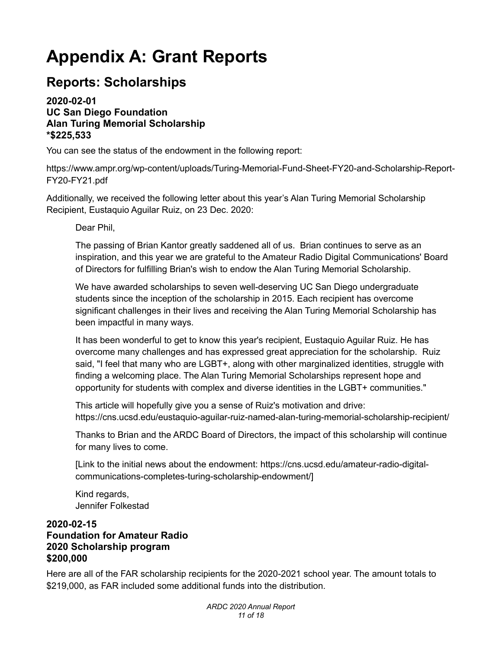# **Appendix A: Grant Reports**

### **Reports: Scholarships**

#### **2020-02-01 UC San Diego Foundation Alan Turing Memorial Scholarship \*\$225,533**

You can see the status of the endowment in the following report:

https://www.ampr.org/wp-content/uploads/Turing-Memorial-Fund-Sheet-FY20-and-Scholarship-Report-FY20-FY21.pdf

Additionally, we received the following letter about this year's Alan Turing Memorial Scholarship Recipient, Eustaquio Aguilar Ruiz, on 23 Dec. 2020:

Dear Phil,

The passing of Brian Kantor greatly saddened all of us. Brian continues to serve as an inspiration, and this year we are grateful to the Amateur Radio Digital Communications' Board of Directors for fulfilling Brian's wish to endow the Alan Turing Memorial Scholarship.

We have awarded scholarships to seven well-deserving UC San Diego undergraduate students since the inception of the scholarship in 2015. Each recipient has overcome significant challenges in their lives and receiving the Alan Turing Memorial Scholarship has been impactful in many ways.

It has been wonderful to get to know this year's recipient, Eustaquio Aguilar Ruiz. He has overcome many challenges and has expressed great appreciation for the scholarship. Ruiz said, "I feel that many who are LGBT+, along with other marginalized identities, struggle with finding a welcoming place. The Alan Turing Memorial Scholarships represent hope and opportunity for students with complex and diverse identities in the LGBT+ communities."

This article will hopefully give you a sense of Ruiz's motivation and drive: https://cns.ucsd.edu/eustaquio-aguilar-ruiz-named-alan-turing-memorial-scholarship-recipient/

Thanks to Brian and the ARDC Board of Directors, the impact of this scholarship will continue for many lives to come.

[Link to the initial news about the endowment: https://cns.ucsd.edu/amateur-radio-digitalcommunications-completes-turing-scholarship-endowment/]

Kind regards, Jennifer Folkestad

#### **2020-02-15 Foundation for Amateur Radio 2020 Scholarship program \$200,000**

Here are all of the FAR scholarship recipients for the 2020-2021 school year. The amount totals to \$219,000, as FAR included some additional funds into the distribution.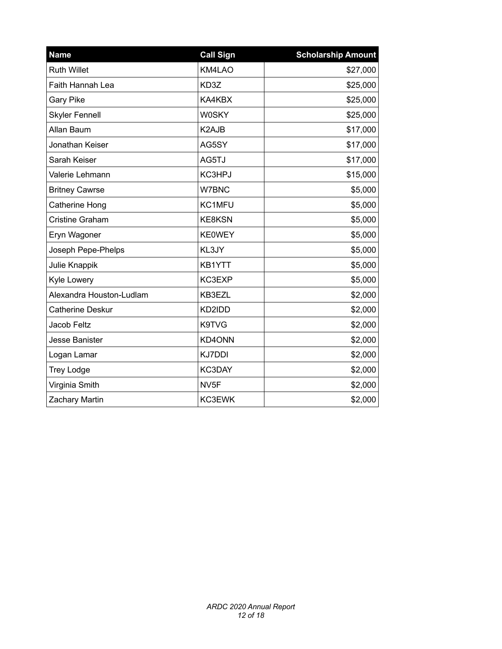| <b>Name</b>              | <b>Call Sign</b> | <b>Scholarship Amount</b> |
|--------------------------|------------------|---------------------------|
| <b>Ruth Willet</b>       | KM4LAO           | \$27,000                  |
| Faith Hannah Lea         | KD3Z             | \$25,000                  |
| <b>Gary Pike</b>         | KA4KBX           | \$25,000                  |
| <b>Skyler Fennell</b>    | <b>W0SKY</b>     | \$25,000                  |
| Allan Baum               | K2AJB            | \$17,000                  |
| Jonathan Keiser          | AG5SY            | \$17,000                  |
| Sarah Keiser             | AG5TJ            | \$17,000                  |
| Valerie Lehmann          | KC3HPJ           | \$15,000                  |
| <b>Britney Cawrse</b>    | W7BNC            | \$5,000                   |
| Catherine Hong           | KC1MFU           | \$5,000                   |
| <b>Cristine Graham</b>   | <b>KE8KSN</b>    | \$5,000                   |
| Eryn Wagoner             | <b>KE0WEY</b>    | \$5,000                   |
| Joseph Pepe-Phelps       | KL3JY            | \$5,000                   |
| Julie Knappik            | KB1YTT           | \$5,000                   |
| Kyle Lowery              | KC3EXP           | \$5,000                   |
| Alexandra Houston-Ludlam | KB3EZL           | \$2,000                   |
| <b>Catherine Deskur</b>  | KD2IDD           | \$2,000                   |
| Jacob Feltz              | K9TVG            | \$2,000                   |
| <b>Jesse Banister</b>    | KD4ONN           | \$2,000                   |
| Logan Lamar              | <b>KJ7DDI</b>    | \$2,000                   |
| <b>Trey Lodge</b>        | KC3DAY           | \$2,000                   |
| Virginia Smith           | NV <sub>5F</sub> | \$2,000                   |
| Zachary Martin           | KC3EWK           | \$2,000                   |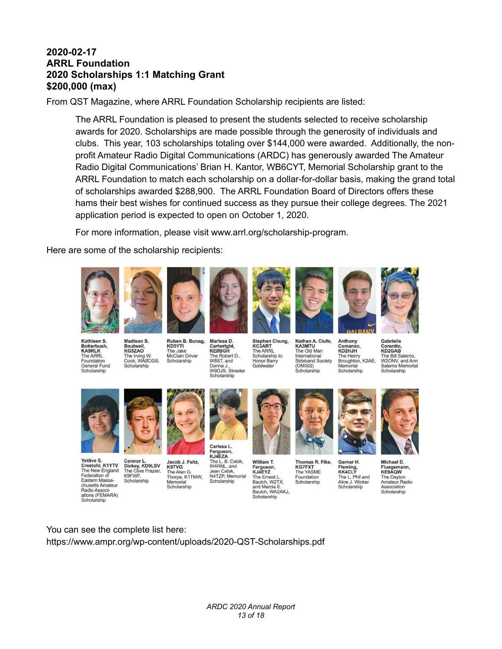#### **2020-02-17 ARRL Foundation 2020 Scholarships 1:1 Matching Grant \$200,000 (max)**

From QST Magazine, where ARRL Foundation Scholarship recipients are listed:

The ARRL Foundation is pleased to present the students selected to receive scholarship awards for 2020. Scholarships are made possible through the generosity of individuals and clubs. This year, 103 scholarships totaling over \$144,000 were awarded. Additionally, the nonprofit Amateur Radio Digital Communications (ARDC) has generously awarded The Amateur Radio Digital Communications' Brian H. Kantor, WB6CYT, Memorial Scholarship grant to the ARRL Foundation to match each scholarship on a dollar-for-dollar basis, making the grand total of scholarships awarded \$288,900. The ARRL Foundation Board of Directors offers these hams their best wishes for continued success as they pursue their college degrees. The 2021 application period is expected to open on October 1, 2020.

For more information, please visit www.arrl.org/scholarship-program.

Here are some of the scholarship recipients:



Kathleen S. Madison S. Botterbush, Boutwell,<br>KG5ZAO The Irving W.<br>Cook, WAØCGS, The ARRL Foundation General Fund Scholarship

Ruben B. Bunag, KD5YTI The Jake McClain Driver Scholarship



Marissa D.

Cartwright,

W8ST, and

Scholarship

Carissa L.



Stephen Chung, KC3ART<br>The ARRL The Robert D Scholarship to Honor Barry Donna J.,<br>W9DJS, Streeter Goldwater



**KA3MTU** 

(OMISS)

Scholarship

The Old Man

International

Nathan A. Ciufo, Anthony Comanzo,<br>KD2HJH Sideband Society

The Henry<br>Broughton, K2AE, Memorial Scholarship

Gabrielle Corentto,<br>KD2GAB The Bill Salerno W2ONV, and Ann Salerno Memorial Scholarship



Scholarship

Yettive S. Connor L Crestohl, K1YTV The New England<br>Federation of<br>Eastern Massa-K9FWF. Scholarship chusetts Amateur Radio Associ ations (FEMARA) Scholarship



Ferguson,<br>KJ4EZA KJ4EZA<br>The L. B. Cebik,<br>W4RNL, and<br>Jean Cebik,<br>N4TZP, Memorial The Alan G. Thorpe, K1TMW,<br>Memorial Scholarship Scholarship



William T. Ferguson,<br>KJ4EYZ The Emest L.<br>Baulch, W2TX,<br>and Marcia E. Baulch, WA2AKJ, Scholarship



Thomas R. Fike. **KG7FXT** The YASME Foundation Scholarship



Garner H. Fleming,<br>KK4CLY The L. Phil and<br>Alice J. Wicker Scholarship

Michael D.

Fluegemann,<br>KE8AQW The Dayton<br>Amateur Radio Association Scholarship

You can see the complete list here: https://www.ampr.org/wp-content/uploads/2020-QST-Scholarships.pdf

> *ARDC 2020 Annual Report 13 of 18*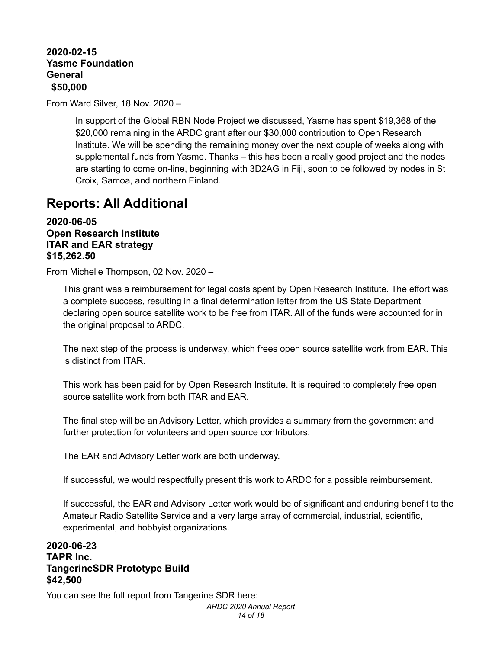**2020-02-15 Yasme Foundation General \$50,000**

From Ward Silver, 18 Nov. 2020 –

In support of the Global RBN Node Project we discussed, Yasme has spent \$19,368 of the \$20,000 remaining in the ARDC grant after our \$30,000 contribution to Open Research Institute. We will be spending the remaining money over the next couple of weeks along with supplemental funds from Yasme. Thanks – this has been a really good project and the nodes are starting to come on-line, beginning with 3D2AG in Fiji, soon to be followed by nodes in St Croix, Samoa, and northern Finland.

### **Reports: All Additional**

**2020-06-05 Open Research Institute ITAR and EAR strategy \$15,262.50**

From Michelle Thompson, 02 Nov. 2020 –

This grant was a reimbursement for legal costs spent by Open Research Institute. The effort was a complete success, resulting in a final determination letter from the US State Department declaring open source satellite work to be free from ITAR. All of the funds were accounted for in the original proposal to ARDC.

The next step of the process is underway, which frees open source satellite work from EAR. This is distinct from ITAR.

This work has been paid for by Open Research Institute. It is required to completely free open source satellite work from both ITAR and EAR.

The final step will be an Advisory Letter, which provides a summary from the government and further protection for volunteers and open source contributors.

The EAR and Advisory Letter work are both underway.

If successful, we would respectfully present this work to ARDC for a possible reimbursement.

If successful, the EAR and Advisory Letter work would be of significant and enduring benefit to the Amateur Radio Satellite Service and a very large array of commercial, industrial, scientific, experimental, and hobbyist organizations.

#### **2020-06-23 TAPR Inc. TangerineSDR Prototype Build \$42,500**

You can see the full report from Tangerine SDR here: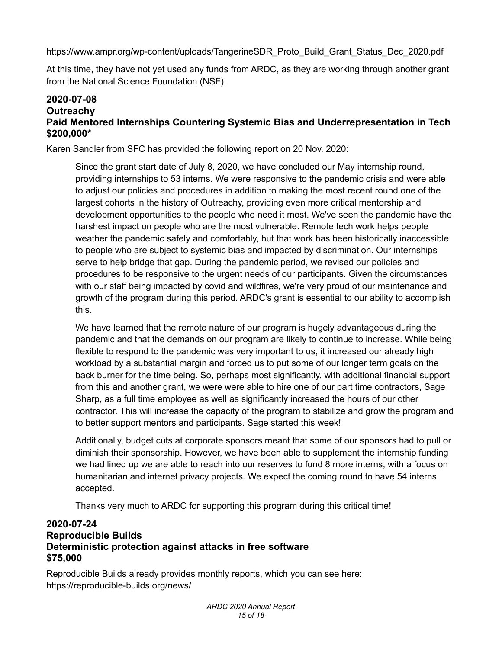https://www.ampr.org/wp-content/uploads/TangerineSDR\_Proto\_Build\_Grant\_Status\_Dec\_2020.pdf

At this time, they have not yet used any funds from ARDC, as they are working through another grant from the National Science Foundation (NSF).

#### **2020-07-08 Outreachy Paid Mentored Internships Countering Systemic Bias and Underrepresentation in Tech \$200,000\***

Karen Sandler from SFC has provided the following report on 20 Nov. 2020:

Since the grant start date of July 8, 2020, we have concluded our May internship round, providing internships to 53 interns. We were responsive to the pandemic crisis and were able to adjust our policies and procedures in addition to making the most recent round one of the largest cohorts in the history of Outreachy, providing even more critical mentorship and development opportunities to the people who need it most. We've seen the pandemic have the harshest impact on people who are the most vulnerable. Remote tech work helps people weather the pandemic safely and comfortably, but that work has been historically inaccessible to people who are subject to systemic bias and impacted by discrimination. Our internships serve to help bridge that gap. During the pandemic period, we revised our policies and procedures to be responsive to the urgent needs of our participants. Given the circumstances with our staff being impacted by covid and wildfires, we're very proud of our maintenance and growth of the program during this period. ARDC's grant is essential to our ability to accomplish this.

We have learned that the remote nature of our program is hugely advantageous during the pandemic and that the demands on our program are likely to continue to increase. While being flexible to respond to the pandemic was very important to us, it increased our already high workload by a substantial margin and forced us to put some of our longer term goals on the back burner for the time being. So, perhaps most significantly, with additional financial support from this and another grant, we were were able to hire one of our part time contractors, Sage Sharp, as a full time employee as well as significantly increased the hours of our other contractor. This will increase the capacity of the program to stabilize and grow the program and to better support mentors and participants. Sage started this week!

Additionally, budget cuts at corporate sponsors meant that some of our sponsors had to pull or diminish their sponsorship. However, we have been able to supplement the internship funding we had lined up we are able to reach into our reserves to fund 8 more interns, with a focus on humanitarian and internet privacy projects. We expect the coming round to have 54 interns accepted.

Thanks very much to ARDC for supporting this program during this critical time!

#### **2020-07-24 Reproducible Builds Deterministic protection against attacks in free software \$75,000**

Reproducible Builds already provides monthly reports, which you can see here: https://reproducible-builds.org/news/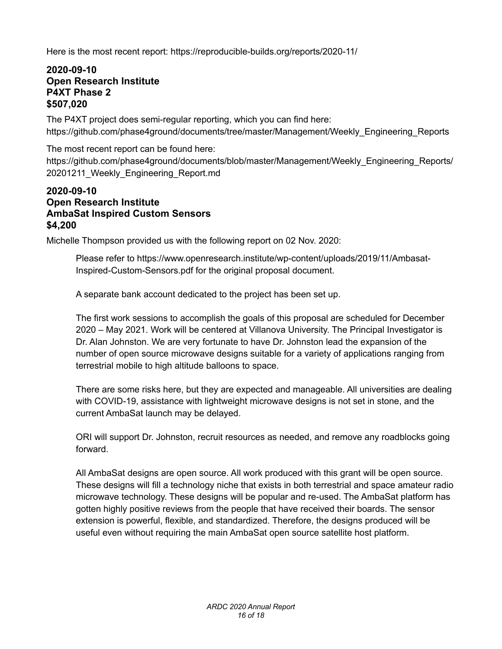Here is the most recent report: https://reproducible-builds.org/reports/2020-11/

#### **2020-09-10 Open Research Institute P4XT Phase 2 \$507,020**

The P4XT project does semi-regular reporting, which you can find here: https://github.com/phase4ground/documents/tree/master/Management/Weekly\_Engineering\_Reports

The most recent report can be found here: https://github.com/phase4ground/documents/blob/master/Management/Weekly\_Engineering\_Reports/ 20201211\_Weekly\_Engineering\_Report.md

#### **2020-09-10 Open Research Institute AmbaSat Inspired Custom Sensors \$4,200**

Michelle Thompson provided us with the following report on 02 Nov. 2020:

Please refer to https://www.openresearch.institute/wp-content/uploads/2019/11/Ambasat-Inspired-Custom-Sensors.pdf for the original proposal document.

A separate bank account dedicated to the project has been set up.

The first work sessions to accomplish the goals of this proposal are scheduled for December 2020 – May 2021. Work will be centered at Villanova University. The Principal Investigator is Dr. Alan Johnston. We are very fortunate to have Dr. Johnston lead the expansion of the number of open source microwave designs suitable for a variety of applications ranging from terrestrial mobile to high altitude balloons to space.

There are some risks here, but they are expected and manageable. All universities are dealing with COVID-19, assistance with lightweight microwave designs is not set in stone, and the current AmbaSat launch may be delayed.

ORI will support Dr. Johnston, recruit resources as needed, and remove any roadblocks going forward.

All AmbaSat designs are open source. All work produced with this grant will be open source. These designs will fill a technology niche that exists in both terrestrial and space amateur radio microwave technology. These designs will be popular and re-used. The AmbaSat platform has gotten highly positive reviews from the people that have received their boards. The sensor extension is powerful, flexible, and standardized. Therefore, the designs produced will be useful even without requiring the main AmbaSat open source satellite host platform.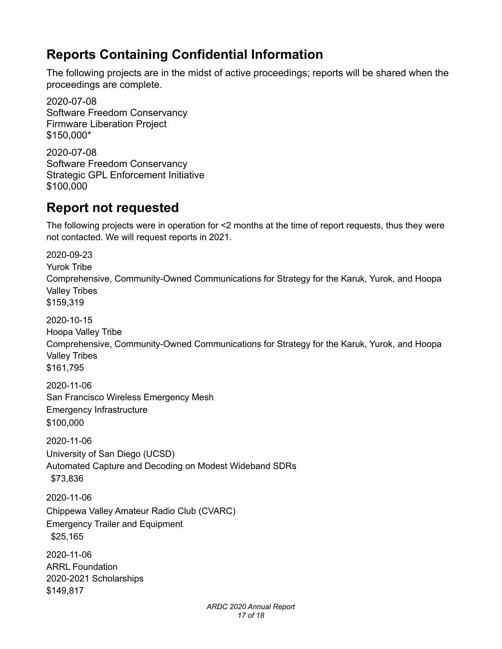### **Reports Containing Confidential Information**

The following projects are in the midst of active proceedings; reports will be shared when the proceedings are complete.

2020-07-08 Software Freedom Conservancy Firmware Liberation Project \$150,000\*

2020-07-08 Software Freedom Conservancy Strategic GPL Enforcement Initiative \$100,000

### **Report not requested**

The following projects were in operation for <2 months at the time of report requests, thus they were not contacted. We will request reports in 2021.

2020-09-23 Yurok Tribe Comprehensive, Community-Owned Communications for Strategy for the Karuk, Yurok, and Hoopa Valley Tribes \$159,319 2020-10-15 Hoopa Valley Tribe Comprehensive, Community-Owned Communications for Strategy for the Karuk, Yurok, and Hoopa Valley Tribes \$161,795 2020-11-06 San Francisco Wireless Emergency Mesh Emergency Infrastructure \$100,000 2020-11-06 University of San Diego (UCSD) Automated Capture and Decoding on Modest Wideband SDRs \$73,836 2020-11-06 Chippewa Valley Amateur Radio Club (CVARC) Emergency Trailer and Equipment \$25,165 2020-11-06 ARRL Foundation 2020-2021 Scholarships \$149,817